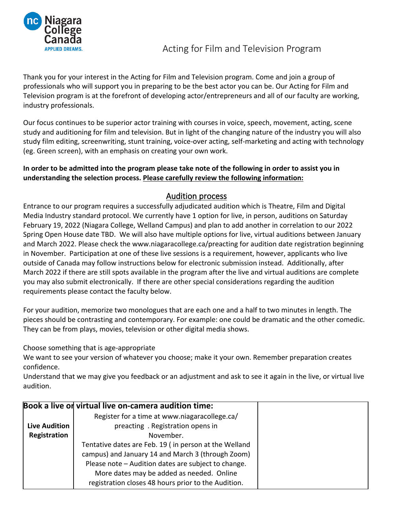

Thank you for your interest in the Acting for Film and Television program. Come and join a group of professionals who will support you in preparing to be the best actor you can be. Our Acting for Film and Television program is at the forefront of developing actor/entrepreneurs and all of our faculty are working, industry professionals.

Our focus continues to be superior actor training with courses in voice, speech, movement, acting, scene study and auditioning for film and television. But in light of the changing nature of the industry you will also study film editing, screenwriting, stunt training, voice-over acting, self-marketing and acting with technology (eg. Green screen), with an emphasis on creating your own work.

## **In order to be admitted into the program please take note of the following in order to assist you in understanding the selection process. Please carefully review the following information:**

# Audition process

Entrance to our program requires a successfully adjudicated audition which is Theatre, Film and Digital Media Industry standard protocol. We currently have 1 option for live, in person, auditions on Saturday February 19, 2022 (Niagara College, Welland Campus) and plan to add another in correlation to our 2022 Spring Open House date TBD. We will also have multiple options for live, virtual auditions between January and March 2022. Please check the www.niagaracollege.ca/preacting for audition date registration beginning in November. Participation at one of these live sessions is a requirement, however, applicants who live outside of Canada may follow instructions below for electronic submission instead. Additionally, after March 2022 if there are still spots available in the program after the live and virtual auditions are complete you may also submit electronically. If there are other special considerations regarding the audition requirements please contact the faculty below.

For your audition, memorize two monologues that are each one and a half to two minutes in length. The pieces should be contrasting and contemporary. For example: one could be dramatic and the other comedic. They can be from plays, movies, television or other digital media shows.

Choose something that is age-appropriate

We want to see your version of whatever you choose; make it your own. Remember preparation creates confidence.

Understand that we may give you feedback or an adjustment and ask to see it again in the live, or virtual live audition.

|                      | Book a live on virtual live on-camera audition time:  |
|----------------------|-------------------------------------------------------|
|                      | Register for a time at www.niagaracollege.ca/         |
| <b>Live Audition</b> | preacting . Registration opens in                     |
| Registration         | November.                                             |
|                      | Tentative dates are Feb. 19 (in person at the Welland |
|                      | campus) and January 14 and March 3 (through Zoom)     |
|                      | Please note - Audition dates are subject to change.   |
|                      | More dates may be added as needed. Online             |
|                      | registration closes 48 hours prior to the Audition.   |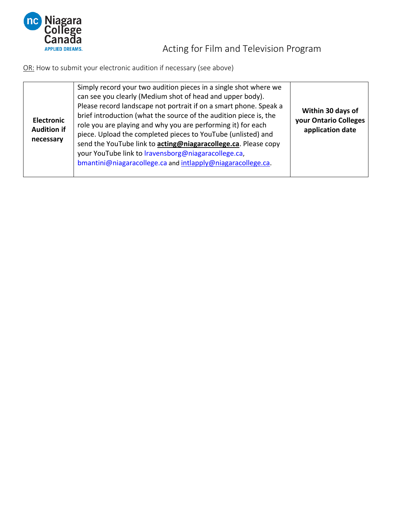

Acting for Film and Television Program

OR: How to submit your electronic audition if necessary (see above)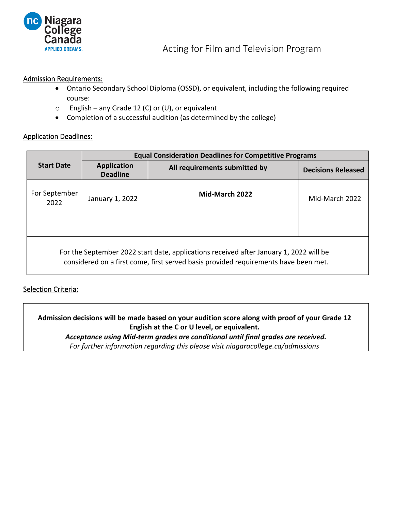

#### Admission Requirements:

- Ontario Secondary School Diploma (OSSD), or equivalent, including the following required course:
- $\circ$  English any Grade 12 (C) or (U), or equivalent
- Completion of a successful audition (as determined by the college)

#### Application Deadlines:

|                                                                                                                                                                               | <b>Equal Consideration Deadlines for Competitive Programs</b> |                               |                           |  |  |
|-------------------------------------------------------------------------------------------------------------------------------------------------------------------------------|---------------------------------------------------------------|-------------------------------|---------------------------|--|--|
| <b>Start Date</b>                                                                                                                                                             | <b>Application</b><br><b>Deadline</b>                         | All requirements submitted by | <b>Decisions Released</b> |  |  |
| For September<br>2022                                                                                                                                                         | January 1, 2022                                               | Mid-March 2022                | Mid-March 2022            |  |  |
| For the September 2022 start date, applications received after January 1, 2022 will be<br>considered on a first come, first served basis provided requirements have been met. |                                                               |                               |                           |  |  |

### **Selection Criteria:**

**Admission decisions will be made based on your audition score along with proof of your Grade 12 English at the C or U level, or equivalent.**

*Acceptance using Mid-term grades are conditional until final grades are received.*

*For further information regarding this please visit niagaracollege.ca/admissions*